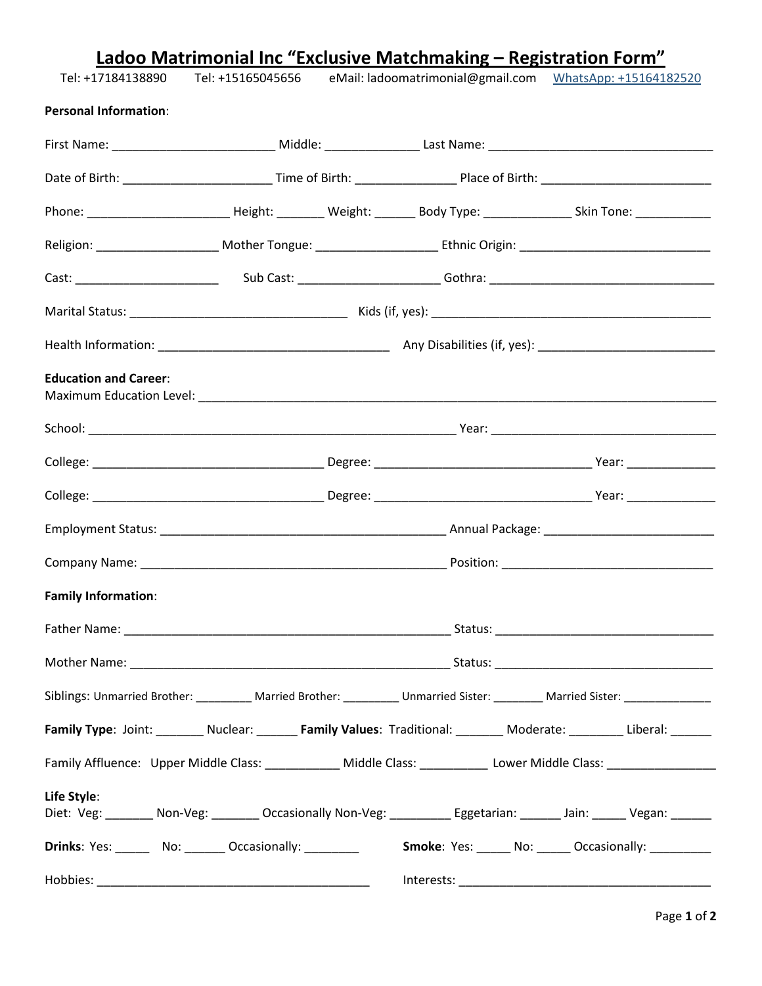| Tel: +17184138890            |  | Ladoo Matrimonial Inc "Exclusive Matchmaking – Registration Form"<br>Tel: +15165045656 eMail: ladoomatrimonial@gmail.com WhatsApp: +15164182520 |  |  |                                                                                                                                        |  |  |
|------------------------------|--|-------------------------------------------------------------------------------------------------------------------------------------------------|--|--|----------------------------------------------------------------------------------------------------------------------------------------|--|--|
| <b>Personal Information:</b> |  |                                                                                                                                                 |  |  |                                                                                                                                        |  |  |
|                              |  |                                                                                                                                                 |  |  |                                                                                                                                        |  |  |
|                              |  |                                                                                                                                                 |  |  |                                                                                                                                        |  |  |
|                              |  |                                                                                                                                                 |  |  | Phone: ________________________________Height: __________ Weight: ____________Body Type: _________________Skin Tone: _________________ |  |  |
|                              |  |                                                                                                                                                 |  |  |                                                                                                                                        |  |  |
|                              |  |                                                                                                                                                 |  |  |                                                                                                                                        |  |  |
|                              |  |                                                                                                                                                 |  |  |                                                                                                                                        |  |  |
|                              |  |                                                                                                                                                 |  |  |                                                                                                                                        |  |  |
| <b>Education and Career:</b> |  |                                                                                                                                                 |  |  |                                                                                                                                        |  |  |
|                              |  |                                                                                                                                                 |  |  |                                                                                                                                        |  |  |
|                              |  |                                                                                                                                                 |  |  |                                                                                                                                        |  |  |
|                              |  |                                                                                                                                                 |  |  |                                                                                                                                        |  |  |
|                              |  |                                                                                                                                                 |  |  |                                                                                                                                        |  |  |
|                              |  |                                                                                                                                                 |  |  |                                                                                                                                        |  |  |
| <b>Family Information:</b>   |  |                                                                                                                                                 |  |  |                                                                                                                                        |  |  |
|                              |  |                                                                                                                                                 |  |  |                                                                                                                                        |  |  |
|                              |  |                                                                                                                                                 |  |  |                                                                                                                                        |  |  |
|                              |  |                                                                                                                                                 |  |  | Siblings: Unmarried Brother: __________ Married Brother: _________ Unmarried Sister: ________ Married Sister: ________________________ |  |  |
|                              |  |                                                                                                                                                 |  |  | Family Type: Joint: _______ Nuclear: _______ Family Values: Traditional: _______ Moderate: ________ Liberal: ______                    |  |  |
|                              |  |                                                                                                                                                 |  |  | Family Affluence: Upper Middle Class: ____________ Middle Class: __________ Lower Middle Class: _________________                      |  |  |
| Life Style:                  |  |                                                                                                                                                 |  |  | Diet: Veg: _______ Non-Veg: _______ Occasionally Non-Veg: _________ Eggetarian: ______ Jain: _____ Vegan: _____                        |  |  |
|                              |  |                                                                                                                                                 |  |  | Drinks: Yes: _______ No: _______ Occasionally: ________________ Smoke: Yes: _____ No: _____ Occasionally: _________                    |  |  |
|                              |  |                                                                                                                                                 |  |  |                                                                                                                                        |  |  |